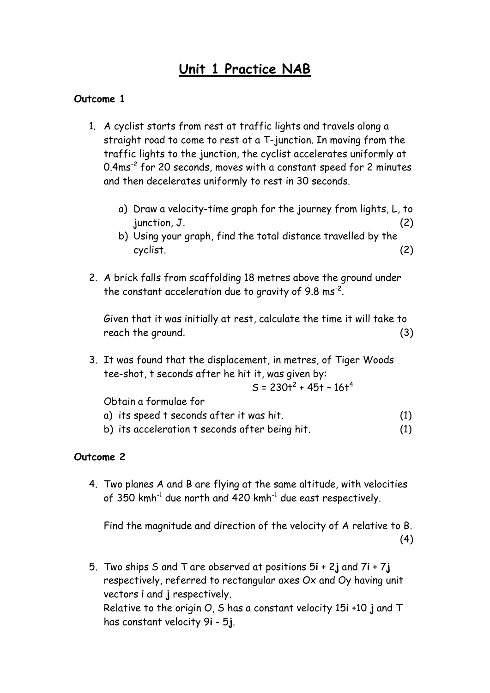# **Unit 1 Practice NAB**

#### **Outcome 1**

- 1. A cyclist starts from rest at traffic lights and travels along a straight road to come to rest at a T-junction. In moving from the traffic lights to the junction, the cyclist accelerates uniformly at 0.4ms<sup>-2</sup> for 20 seconds, moves with a constant speed for 2 minutes and then decelerates uniformly to rest in 30 seconds.
	- a) Draw a velocity-time graph for the journey from lights, L, to  $\mu$  junction,  $J$ . (2)
	- b) Using your graph, find the total distance travelled by the cyclist. (2)
- 2. A brick falls from scaffolding 18 metres above the ground under the constant acceleration due to gravity of 9.8 ms<sup>-2</sup>.

Given that it was initially at rest, calculate the time it will take to reach the ground. (3)

3. It was found that the displacement, in metres, of Tiger Woods tee-shot, t seconds after he hit it, was given by:

$$
S = 230t^2 + 45t - 16t^4
$$

Obtain a formulae for

- a) its speed t seconds after it was hit. (1)
- b) its acceleration t seconds after being hit. (1)

#### **Outcome 2**

4. Two planes A and B are flying at the same altitude, with velocities of 350  $kmh^{-1}$  due north and 420  $kmh^{-1}$  due east respectively.

Find the magnitude and direction of the velocity of A relative to B. (4)

5. Two ships S and T are observed at positions 5**i** + 2**j** and 7**i** + 7**j** respectively, referred to rectangular axes Ox and Oy having unit vectors **i** and **j** respectively. Relative to the origin O, S has a constant velocity 15**i** +10 **j** and T has constant velocity 9**i** - 5**j**.